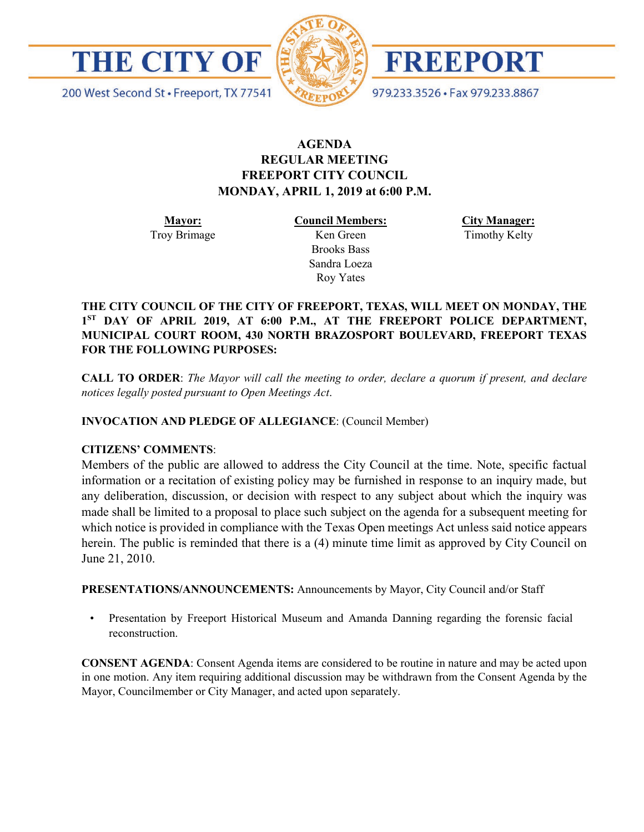



FREEPORT

979.233.3526 · Fax 979.233.8867

200 West Second St · Freeport, TX 77541

#### **AGENDA REGULAR MEETING FREEPORT CITY COUNCIL MONDAY, APRIL 1, 2019 at 6:00 P.M.**

**Mayor:** Troy Brimage **Council Members:** Ken Green

> Brooks Bass Sandra Loeza Roy Yates

**City Manager:**

Timothy Kelty

**THE CITY COUNCIL OF THE CITY OF FREEPORT, TEXAS, WILL MEET ON MONDAY, THE 1ST DAY OF APRIL 2019, AT 6:00 P.M., AT THE FREEPORT POLICE DEPARTMENT, MUNICIPAL COURT ROOM, 430 NORTH BRAZOSPORT BOULEVARD, FREEPORT TEXAS FOR THE FOLLOWING PURPOSES:**

**CALL TO ORDER**: *The Mayor will call the meeting to order, declare a quorum if present, and declare notices legally posted pursuant to Open Meetings Act*.

**INVOCATION AND PLEDGE OF ALLEGIANCE**: (Council Member)

#### **CITIZENS' COMMENTS**:

Members of the public are allowed to address the City Council at the time. Note, specific factual information or a recitation of existing policy may be furnished in response to an inquiry made, but any deliberation, discussion, or decision with respect to any subject about which the inquiry was made shall be limited to a proposal to place such subject on the agenda for a subsequent meeting for which notice is provided in compliance with the Texas Open meetings Act unless said notice appears herein. The public is reminded that there is a (4) minute time limit as approved by City Council on June 21, 2010.

**PRESENTATIONS/ANNOUNCEMENTS:** Announcements by Mayor, City Council and/or Staff

• Presentation by Freeport Historical Museum and Amanda Danning regarding the forensic facial reconstruction.

**CONSENT AGENDA**: Consent Agenda items are considered to be routine in nature and may be acted upon in one motion. Any item requiring additional discussion may be withdrawn from the Consent Agenda by the Mayor, Councilmember or City Manager, and acted upon separately.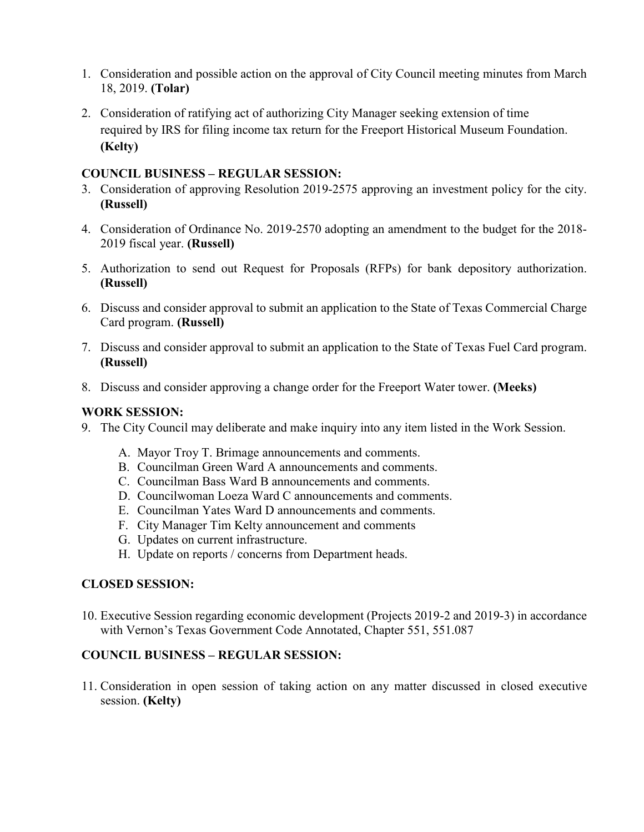- 1. Consideration and possible action on the approval of City Council meeting minutes from March 18, 2019. **(Tolar)**
- 2. Consideration of ratifying act of authorizing City Manager seeking extension of time required by IRS for filing income tax return for the Freeport Historical Museum Foundation. **(Kelty)**

#### **COUNCIL BUSINESS – REGULAR SESSION:**

- 3. Consideration of approving Resolution 2019-2575 approving an investment policy for the city. **(Russell)**
- 4. Consideration of Ordinance No. 2019-2570 adopting an amendment to the budget for the 2018- 2019 fiscal year. **(Russell)**
- 5. Authorization to send out Request for Proposals (RFPs) for bank depository authorization. **(Russell)**
- 6. Discuss and consider approval to submit an application to the State of Texas Commercial Charge Card program. **(Russell)**
- 7. Discuss and consider approval to submit an application to the State of Texas Fuel Card program. **(Russell)**
- 8. Discuss and consider approving a change order for the Freeport Water tower. **(Meeks)**

## **WORK SESSION:**

- 9. The City Council may deliberate and make inquiry into any item listed in the Work Session.
	- A. Mayor Troy T. Brimage announcements and comments.
	- B. Councilman Green Ward A announcements and comments.
	- C. Councilman Bass Ward B announcements and comments.
	- D. Councilwoman Loeza Ward C announcements and comments.
	- E. Councilman Yates Ward D announcements and comments.
	- F. City Manager Tim Kelty announcement and comments
	- G. Updates on current infrastructure.
	- H. Update on reports / concerns from Department heads.

### **CLOSED SESSION:**

10. Executive Session regarding economic development (Projects 2019-2 and 2019-3) in accordance with Vernon's Texas Government Code Annotated, Chapter 551, 551.087

### **COUNCIL BUSINESS – REGULAR SESSION:**

11. Consideration in open session of taking action on any matter discussed in closed executive session. **(Kelty)**